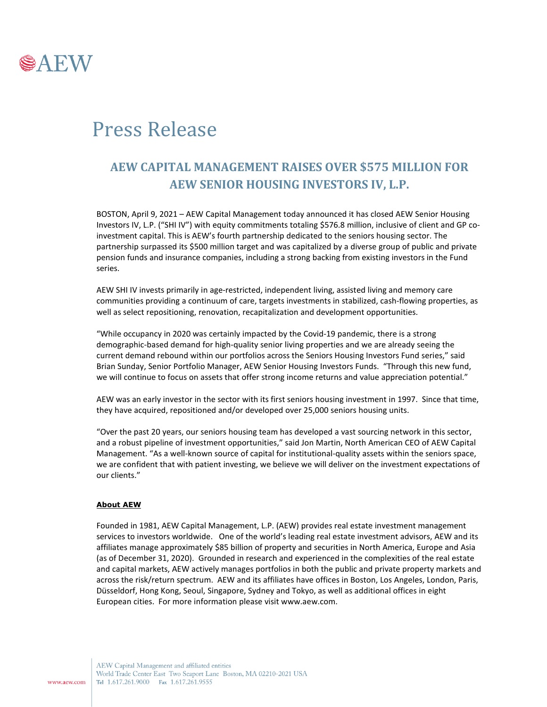

## Press Release

## **AEW CAPITAL MANAGEMENT RAISES OVER \$575 MILLION FOR AEW SENIOR HOUSING INVESTORS IV, L.P.**

BOSTON, April 9, 2021 – AEW Capital Management today announced it has closed AEW Senior Housing Investors IV, L.P. ("SHI IV") with equity commitments totaling \$576.8 million, inclusive of client and GP coinvestment capital. This is AEW's fourth partnership dedicated to the seniors housing sector. The partnership surpassed its \$500 million target and was capitalized by a diverse group of public and private pension funds and insurance companies, including a strong backing from existing investors in the Fund series.

AEW SHI IV invests primarily in age-restricted, independent living, assisted living and memory care communities providing a continuum of care, targets investments in stabilized, cash-flowing properties, as well as select repositioning, renovation, recapitalization and development opportunities.

"While occupancy in 2020 was certainly impacted by the Covid-19 pandemic, there is a strong demographic-based demand for high-quality senior living properties and we are already seeing the current demand rebound within our portfolios across the Seniors Housing Investors Fund series," said Brian Sunday, Senior Portfolio Manager, AEW Senior Housing Investors Funds. "Through this new fund, we will continue to focus on assets that offer strong income returns and value appreciation potential."

AEW was an early investor in the sector with its first seniors housing investment in 1997. Since that time, they have acquired, repositioned and/or developed over 25,000 seniors housing units.

"Over the past 20 years, our seniors housing team has developed a vast sourcing network in this sector, and a robust pipeline of investment opportunities," said Jon Martin, North American CEO of AEW Capital Management. "As a well-known source of capital for institutional-quality assets within the seniors space, we are confident that with patient investing, we believe we will deliver on the investment expectations of our clients."

## **About AEW**

Founded in 1981, AEW Capital Management, L.P. (AEW) provides real estate investment management services to investors worldwide. One of the world's leading real estate investment advisors, AEW and its affiliates manage approximately \$85 billion of property and securities in North America, Europe and Asia (as of December 31, 2020). Grounded in research and experienced in the complexities of the real estate and capital markets, AEW actively manages portfolios in both the public and private property markets and across the risk/return spectrum. AEW and its affiliates have offices in Boston, Los Angeles, London, Paris, Düsseldorf, Hong Kong, Seoul, Singapore, Sydney and Tokyo, as well as additional offices in eight European cities. For more information please visit www.aew.com.

AEW Capital Management and affiliated entities World Trade Center East Two Seaport Lane Boston, MA 02210-2021 USA Tel 1.617.261.9000 Fax 1.617.261.9555